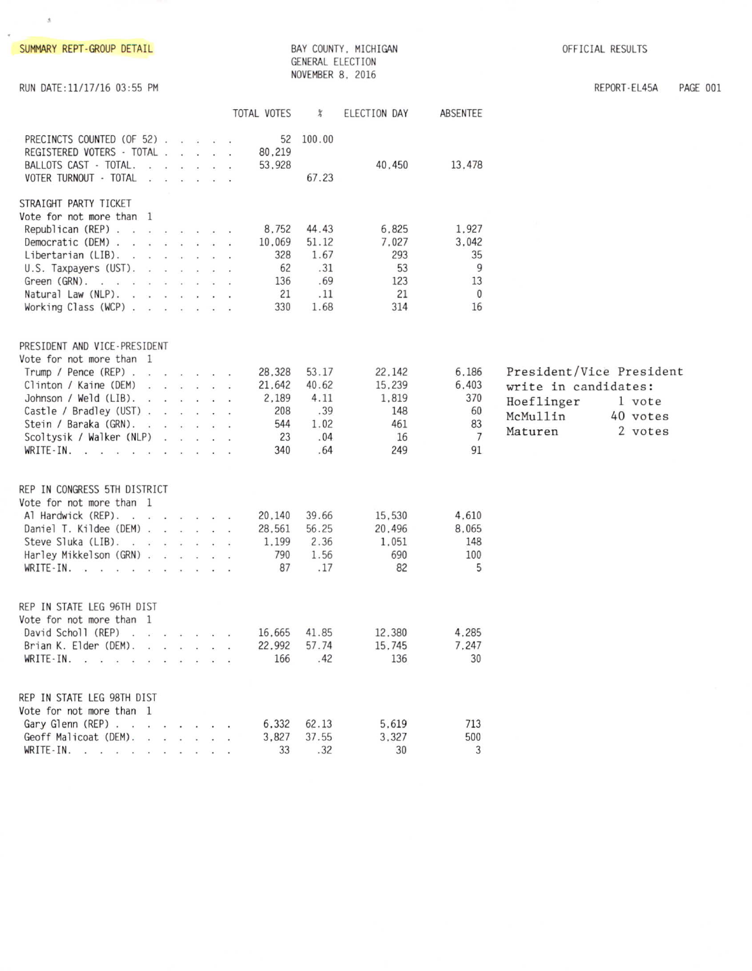| SUMMARY REPT-GROUP DETAIL                                                                                                                                                                                                                                        |                                                      | GENERAL ELECTION<br>NOVEMBER 8, 2016                | BAY COUNTY, MICHIGAN                                 |                                                           | OFFICIAL RESULTS                                                                      |                               |          |
|------------------------------------------------------------------------------------------------------------------------------------------------------------------------------------------------------------------------------------------------------------------|------------------------------------------------------|-----------------------------------------------------|------------------------------------------------------|-----------------------------------------------------------|---------------------------------------------------------------------------------------|-------------------------------|----------|
| RUN DATE:11/17/16 03:55 PM                                                                                                                                                                                                                                       |                                                      |                                                     |                                                      |                                                           |                                                                                       | REPORT-EL45A                  | PAGE 001 |
|                                                                                                                                                                                                                                                                  | TOTAL VOTES                                          | $\chi$                                              | ELECTION DAY                                         | ABSENTEE                                                  |                                                                                       |                               |          |
| PRECINCTS COUNTED (OF 52)<br>REGISTERED VOTERS - TOTAL<br>BALLOTS CAST - TOTAL.<br>VOTER TURNOUT - TOTAL                                                                                                                                                         | 80.219<br>53.928                                     | 52 100.00<br>67.23                                  | 40,450                                               | 13,478                                                    |                                                                                       |                               |          |
| STRAIGHT PARTY TICKET<br>Vote for not more than 1<br>Republican (REP)<br>Democratic (DEM) $\ldots$ $\ldots$ $\ldots$<br>Libertarian $(LIB)$ .<br>$U.S.$ Taxpayers (UST).<br>Green (GRN).<br>Natural Law (NLP).<br>Working Class (WCP) $\ldots$ $\ldots$ $\ldots$ | 8,752<br>10,069<br>328<br>62<br>136<br>21<br>330     | 44.43<br>51.12<br>1.67<br>.31<br>.69<br>.11<br>1.68 | 6.825<br>7,027<br>293<br>53<br>123<br>21<br>314      | 1,927<br>3,042<br>35<br>9<br>13<br>$\Omega$<br>16         |                                                                                       |                               |          |
| PRESIDENT AND VICE-PRESIDENT<br>Vote for not more than 1<br>Trump / Pence $(REP)$<br>Clinton / Kaine (DEM)<br>Johnson / Weld (LIB).<br>Castle / Bradley (UST)<br>Stein / Baraka (GRN).<br>Scoltysik / Walker (NLP)<br>WRITE-IN.                                  | 28.328<br>21,642<br>2.189<br>208<br>544<br>23<br>340 | 53.17<br>40.62<br>4.11<br>.39<br>1.02<br>.04<br>.64 | 22,142<br>15,239<br>1,819<br>148<br>461<br>16<br>249 | 6,186<br>6,403<br>370<br>60<br>83<br>$\overline{7}$<br>91 | President/Vice President<br>write in candidates:<br>Hoeflinger<br>McMullin<br>Maturen | 1 vote<br>40 votes<br>2 votes |          |
| REP IN CONGRESS 5TH DISTRICT<br>Vote for not more than 1<br>Al Hardwick (REP).<br>Daniel T. Kildee (DEM)<br>Steve Sluka (LIB).<br>Harley Mikkelson (GRN)<br>WRITE-IN.                                                                                            | 20,140<br>28,561<br>1,199<br>790<br>87               | 39.66<br>56.25<br>2.36<br>1.56<br>.17               | 15,530<br>20,496<br>1,051<br>690<br>82               | 4,610<br>8,065<br>148<br>100<br>5                         |                                                                                       |                               |          |
| REP IN STATE LEG 96TH DIST<br>Vote for not more than 1<br>David Scholl (REP)<br>Brian K. Elder (DEM). $\cdot \cdot \cdot \cdot$<br>WRITE-IN.                                                                                                                     | 16,665<br>22,992<br>166                              | 41.85<br>57.74<br>.42                               | 12,380<br>15,745<br>136                              | 4,285<br>7.247<br>30                                      |                                                                                       |                               |          |
| REP IN STATE LEG 98TH DIST<br>Vote for not more than 1<br>Gary Glenn (REP)<br>Geoff Malicoat (DEM).<br>WRITE-IN.                                                                                                                                                 | 6.332<br>3,827<br>33                                 | 62.13<br>37.55<br>.32                               | 5.619<br>3.327<br>30                                 | 713<br>500<br>3                                           |                                                                                       |                               |          |

 $\Lambda$ 

 $\hat{\mathbf{r}}$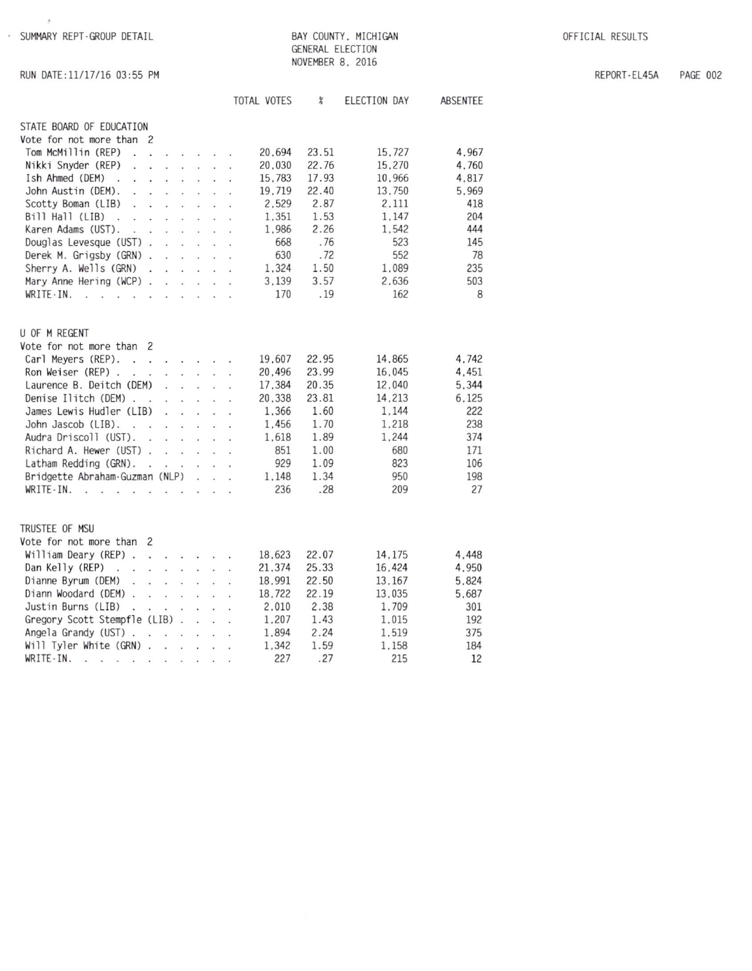· SUMMARY REPT-GROUP DETAIL

 $\mathcal{G}_\mathrm{c}$ 

BAY COUNTY, MICHIGAN GENERAL ELECTION NOVEMBER 8, 2016

OFFICIAL RESULTS

REPORT-EL45A PAGE 002

|  |  | RUN DATE:11/17/16 03:55 PM |  |
|--|--|----------------------------|--|
|  |  |                            |  |

|                                            |                          |                      |                      |                          |                      |                      | TOTAL VOTES | $\chi$ | ELECTION DAY | ABSENTEE |
|--------------------------------------------|--------------------------|----------------------|----------------------|--------------------------|----------------------|----------------------|-------------|--------|--------------|----------|
| STATE BOARD OF EDUCATION                   |                          |                      |                      |                          |                      |                      |             |        |              |          |
| Vote for not more than 2                   |                          |                      |                      |                          |                      |                      |             |        |              |          |
| Tom McMillin (REP)<br>ù.                   | L.                       |                      | $\ddot{\phantom{a}}$ | à.                       |                      |                      | 20.694      | 23.51  | 15,727       | 4.967    |
| Nikki Snyder (REP)<br>$\ddot{\phantom{0}}$ | $\ddot{\phantom{a}}$     |                      | $\overline{a}$       | ÷.                       |                      |                      | 20.030      | 22.76  | 15,270       | 4,760    |
| Ish Ahmed (DEM)<br>$\ddot{\phantom{a}}$    |                          |                      | à,                   | $\ddot{\phantom{a}}$     | ä,                   | $\ddot{\phantom{0}}$ | 15,783      | 17.93  | 10.966       | 4.817    |
| John Austin (DEM).                         |                          |                      |                      |                          |                      | $\ddot{\phantom{a}}$ | 19,719      | 22.40  | 13,750       | 5,969    |
| Scotty Boman (LIB)                         |                          |                      |                      |                          |                      |                      | 2,529       | 2.87   | 2.111        | 418      |
| Bill Hall (LIB)<br>т.                      |                          |                      |                      |                          |                      |                      | 1.351       | 1.53   | 1.147        | 204      |
| v.<br>Karen Adams (UST).                   | ł.                       |                      |                      |                          |                      |                      | 1,986       | 2.26   | 1,542        | 444      |
|                                            | $\ddot{\phantom{0}}$     |                      |                      |                          |                      |                      | 668         | .76    | 523          | 145      |
| Douglas Levesque (UST).                    |                          |                      | Į.                   |                          |                      |                      |             |        |              |          |
| Derek M. Grigsby (GRN).                    |                          |                      | $\ddot{\phantom{a}}$ | ä.                       |                      | ÷.                   | 630         | .72    | 552          | 78       |
| Sherry A. Wells (GRN)                      | $\ddot{\phantom{a}}$     |                      |                      | $\overline{\phantom{a}}$ |                      |                      | 1,324       | 1.50   | 1,089        | 235      |
| Mary Anne Hering (WCP).                    |                          | ÷,                   | ź.                   | a.                       | i.                   | i.                   | 3,139       | 3.57   | 2,636        | 503      |
| WRITE-IN.<br>J.                            | $\sim$                   | $\cdot$ .            | ¥.                   | $\ddot{\phantom{0}}$     | k.                   | ÷,                   | 170         | .19    | 162          | 8        |
| U OF M REGENT                              |                          |                      |                      |                          |                      |                      |             |        |              |          |
| Vote for not more than                     | 2                        |                      |                      |                          |                      |                      |             |        |              |          |
| Carl Meyers (REP).<br>$\sim$ $\sim$        |                          | $\sim$               | $\sim$               |                          |                      |                      | 19.607      | 22.95  | 14.865       | 4.742    |
| Ron Weiser (REP).<br>÷.                    | $\sim$                   | ÷                    | $\ddot{\phantom{a}}$ |                          |                      |                      | 20.496      | 23.99  | 16.045       | 4.451    |
| Laurence B. Deitch (DEM)                   |                          | ÷.                   | ¥.                   | $\sim$                   |                      |                      | 17,384      | 20.35  | 12.040       | 5.344    |
| Denise Ilitch (DEM).                       | ÷.                       | ÷.                   |                      |                          |                      |                      | 20,338      | 23.81  | 14.213       | 6.125    |
| James Lewis Hudler (LIB)                   |                          | $\overline{a}$       | l,                   |                          |                      |                      | 1.366       | 1.60   | 1.144        | 222      |
| John Jascob (LIB).<br>$\cdot$ .            |                          | ÷.                   | ÷.                   | ÷.                       |                      |                      | 1.456       | 1.70   | 1.218        | 238      |
| Audra Driscoll (UST).                      | $\sim$                   | ù.                   |                      |                          |                      |                      | 1.618       | 1.89   | 1.244        | 374      |
| Richard A. Hewer (UST).                    |                          | $\ddot{\phantom{a}}$ | $\sim$               | $\overline{a}$           | <b>College</b>       |                      | 851         | 1.00   | 680          | 171      |
|                                            |                          |                      |                      |                          |                      |                      | 929         | 1.09   | 823          | 106      |
| Latham Redding (GRN).                      | $\overline{\phantom{a}}$ |                      | $\sim$               | ÷.                       | $\ddot{\phantom{1}}$ | i,                   |             | 1.34   | 950          | 198      |
| Bridgette Abraham-Guzman (NLP)             |                          |                      |                      | ÷,                       | $\ddot{\phantom{a}}$ |                      | 1,148       |        |              |          |
| WRITE-IN.                                  |                          |                      |                      |                          |                      |                      | 236         | .28    | 209          | 27       |
| TRUSTEE OF MSU                             |                          |                      |                      |                          |                      |                      |             |        |              |          |
| Vote for not more than 2                   |                          |                      |                      |                          |                      |                      |             |        |              |          |
| William Deary (REP) .                      | $\sim$                   | $\sim$ $\sim$        |                      | $\sim$                   |                      |                      | 18,623      | 22.07  | 14,175       | 4.448    |
| Dan Kelly (REP)<br>$\sim$ $\sim$           | $\ddot{\phantom{a}}$     | $\ddot{\phantom{a}}$ | $\sim$               |                          |                      |                      | 21,374      | 25.33  | 16,424       | 4,950    |
| Dianne Byrum (DEM)<br>÷.                   | à.                       | ÷,                   | $\sim$               | ÷,                       |                      |                      | 18,991      | 22.50  | 13, 167      | 5,824    |
| Diann Woodard (DEM) .                      | $\ddot{\phantom{0}}$     |                      | $\cdot$ $\cdot$      | $\mathbf{r}$             | $\ddot{\phantom{a}}$ | $\ddot{\phantom{0}}$ | 18,722      | 22.19  | 13,035       | 5,687    |
| Justin Burns (LIB)                         |                          |                      |                      |                          |                      |                      | 2.010       | 2.38   | 1,709        | 301      |
| Gregory Scott Stempfle (LIB)               |                          |                      | l ag                 | ÷,                       | ÷,                   |                      | 1,207       | 1.43   | 1,015        | 192      |
| Angela Grandy (UST).                       | $\ddot{\phantom{0}}$     |                      | $\ddot{\phantom{a}}$ | ÷.                       | $\ddot{\phantom{0}}$ | $\ddot{\phantom{0}}$ | 1,894       | 2.24   | 1,519        | 375      |
| Will Tyler White (GRN).                    |                          | $\ddot{\phantom{a}}$ | ÷.                   |                          |                      |                      | 1.342       | 1.59   | 1.158        | 184      |
| WRITE-IN.<br>$\sim$                        |                          |                      |                      | $\ddot{\phantom{0}}$     |                      |                      | 227         | .27    | 215          | 12       |
| $\cdot$ $\cdot$                            |                          |                      | ÷,                   | ÷                        |                      |                      |             |        |              |          |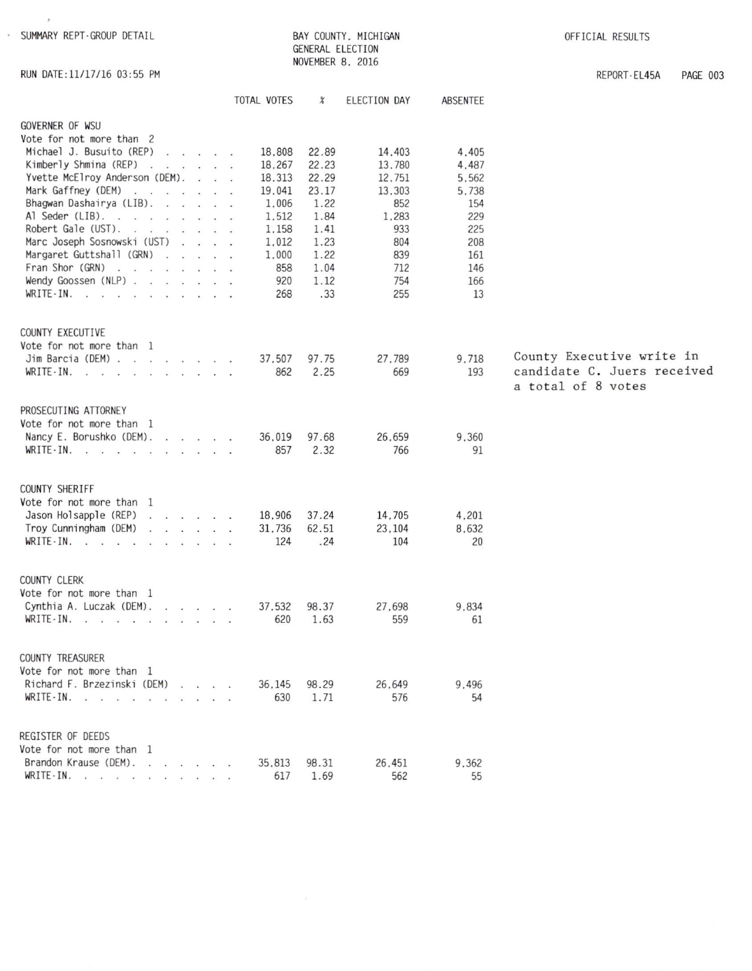RUN DATE:11/17/16 03:55 PM

 $\mathcal{G}$ 

BAY COUNTY, MICHIGAN GENERAL ELECTION NOVEMBER 8, 2016

OFFICIAL RESULTS

REPORT-EL45A **PAGE 003** 

|                                                                                                                                                                                                                                                                                                                                                                                                                                                                                                                                                                                                                                                                                                                                                                                                                                                                                   | TOTAL VOTES                                                                                            | $\chi$                                                                                          | ELECTION DAY                                                                                   | ABSENTEE                                                                                |                                                                                |
|-----------------------------------------------------------------------------------------------------------------------------------------------------------------------------------------------------------------------------------------------------------------------------------------------------------------------------------------------------------------------------------------------------------------------------------------------------------------------------------------------------------------------------------------------------------------------------------------------------------------------------------------------------------------------------------------------------------------------------------------------------------------------------------------------------------------------------------------------------------------------------------|--------------------------------------------------------------------------------------------------------|-------------------------------------------------------------------------------------------------|------------------------------------------------------------------------------------------------|-----------------------------------------------------------------------------------------|--------------------------------------------------------------------------------|
| GOVERNER OF WSU<br>Vote for not more than 2<br>Michael J. Busuito (REP)<br>$\sim$ $\sim$ $\sim$ $\sim$<br>Kimberly Shmina (REP)<br>Yvette McElroy Anderson (DEM).<br><b>Contract Contract Contract</b><br>Mark Gaffney (DEM)<br>$\label{eq:2.1} \frac{1}{2} \mathbf{e}_1 \mathbf{e}_2 = \mathbf{e}_2 \mathbf{e}_1 + \frac{1}{2} \mathbf{e}_2 \mathbf{e}_2 + \frac{1}{2} \mathbf{e}_3 \mathbf{e}_3 + \frac{1}{2} \mathbf{e}_4 \mathbf{e}_5 + \frac{1}{2} \mathbf{e}_5 \mathbf{e}_6 + \frac{1}{2} \mathbf{e}_6 \mathbf{e}_7 + \frac{1}{2} \mathbf{e}_7 \mathbf{e}_8 + \frac{1}{2} \mathbf{e}_8 \mathbf{e}_8 + \frac{1}{2} \mathbf{e}_8 \mathbf{e}_$<br>Bhagwan Dashairya (LIB).<br>Al Seder (LIB).<br>Robert Gale (UST).<br>Marc Joseph Sosnowski (UST)<br>Margaret Guttshall (GRN)<br>Fran Shor (GRN)<br>Wendy Goossen (NLP)<br>$WRITE-IN.$<br>the contract of the contract of the | 18,808<br>18,267<br>18,313<br>19,041<br>1,006<br>1,512<br>1,158<br>1,012<br>1,000<br>858<br>920<br>268 | 22.89<br>22.23<br>22.29<br>23.17<br>1.22<br>1.84<br>1.41<br>1.23<br>1.22<br>1.04<br>1.12<br>.33 | 14,403<br>13,780<br>12,751<br>13,303<br>852<br>1,283<br>933<br>804<br>839<br>712<br>754<br>255 | 4.405<br>4.487<br>5,562<br>5.738<br>154<br>229<br>225<br>208<br>161<br>146<br>166<br>13 |                                                                                |
| COUNTY EXECUTIVE<br>Vote for not more than 1<br>Jim Barcia (DEM)<br>$\sim$ $\sim$<br>$WRITE-IN.$ $\ldots$ $\ldots$ $\ldots$                                                                                                                                                                                                                                                                                                                                                                                                                                                                                                                                                                                                                                                                                                                                                       | 37,507<br>862                                                                                          | 97.75<br>2.25                                                                                   | 27,789<br>669                                                                                  | 9,718<br>193                                                                            | County Executive write in<br>candidate C. Juers received<br>a total of 8 votes |
| PROSECUTING ATTORNEY<br>Vote for not more than 1<br>Nancy E. Borushko (DEM).<br>the contract of the con-<br>$WRITE-IN.$ $\ldots$ $\ldots$ $\ldots$                                                                                                                                                                                                                                                                                                                                                                                                                                                                                                                                                                                                                                                                                                                                | 36,019<br>857                                                                                          | 97.68<br>2.32                                                                                   | 26,659<br>766                                                                                  | 9,360<br>91                                                                             |                                                                                |
| COUNTY SHERIFF<br>Vote for not more than 1<br>Jason Holsapple (REP)<br>$\begin{array}{cccccccccccccc} \mathbf{1} & \mathbf{1} & \mathbf{1} & \mathbf{1} & \mathbf{1} & \mathbf{1} & \mathbf{1} & \mathbf{1} & \mathbf{1} & \mathbf{1} & \mathbf{1} & \mathbf{1} & \mathbf{1} & \mathbf{1} & \mathbf{1} & \mathbf{1} & \mathbf{1} & \mathbf{1} & \mathbf{1} & \mathbf{1} & \mathbf{1} & \mathbf{1} & \mathbf{1} & \mathbf{1} & \mathbf{1} & \mathbf{1} & \mathbf{1} & \mathbf{1} & \mathbf{1} & \mathbf{1} &$<br>Troy Cunningham (DEM)<br>$\sim$ $\sim$ $\sim$ $\sim$<br>$\ddot{\phantom{a}}$<br>$WRITE-IN.$<br>$\sim$                                                                                                                                                                                                                                                             | 18,906<br>31,736<br>124                                                                                | 37.24<br>62.51<br>.24                                                                           | 14,705<br>23,104<br>104                                                                        | 4,201<br>8,632<br>20                                                                    |                                                                                |
| <b>COUNTY CLERK</b><br>Vote for not more than 1<br>Cynthia A. Luczak (DEM).<br>$\mathbf{r}$ . The set of the set of the set of the set of the set of the set of the set of the set of the set of the set of the set of the set of the set of the set of the set of the set of the set of the set of the set of t                                                                                                                                                                                                                                                                                                                                                                                                                                                                                                                                                                  | 37,532<br>620                                                                                          | 98.37<br>1.63                                                                                   | 27,698<br>559                                                                                  | 9,834<br>61                                                                             |                                                                                |
| <b>COUNTY TREASURER</b><br>Vote for not more than 1<br>Richard F. Brzezinski (DEM)<br>WRITE - IN.                                                                                                                                                                                                                                                                                                                                                                                                                                                                                                                                                                                                                                                                                                                                                                                 | 36.145<br>630                                                                                          | 98.29<br>1.71                                                                                   | 26.649<br>576                                                                                  | 9.496<br>54                                                                             |                                                                                |
| REGISTER OF DEEDS<br>Vote for not more than 1<br>Brandon Krause (DEM).<br>WRITE $\cdot$ IN.                                                                                                                                                                                                                                                                                                                                                                                                                                                                                                                                                                                                                                                                                                                                                                                       | 35,813<br>617                                                                                          | 98.31<br>1.69                                                                                   | 26,451<br>562                                                                                  | 9.362<br>55                                                                             |                                                                                |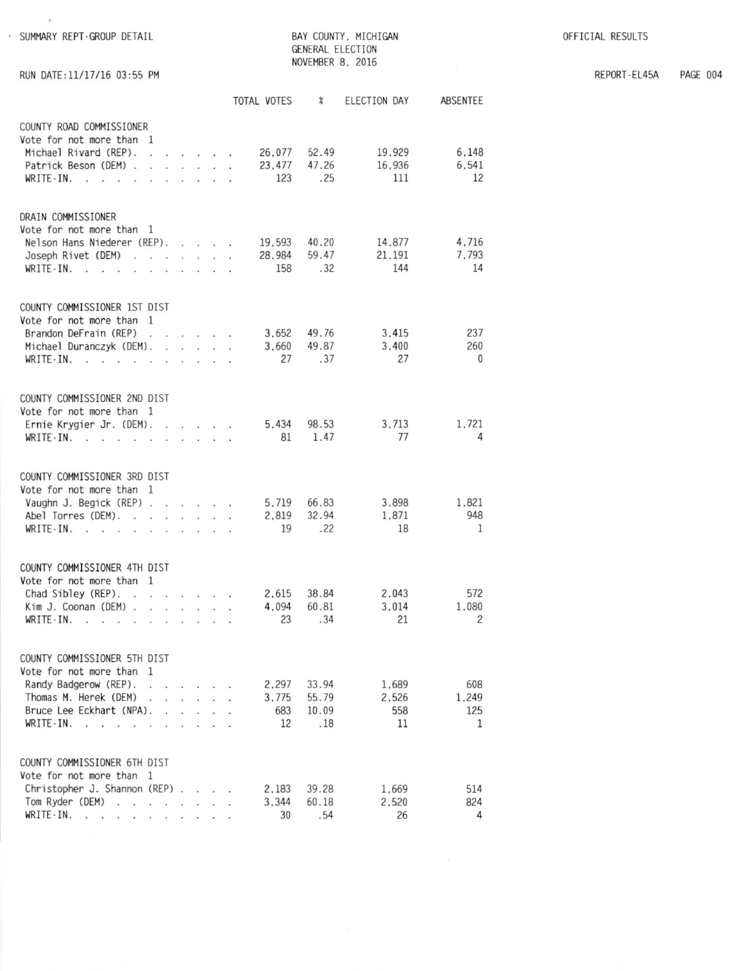OFFICIAL RESULTS

ABSENTEE

6.148 6,541 12

4,716 7,793 14

> 237 260  $\overline{0}$

1,721  $\overline{4}$ 

1,821 948  $\mathbf{1}$ 

572 1,080  $\overline{c}$ 

608 1.249 125  $\mathbf{1}$ 

514

824

 $\overline{4}$ 

REPORT-EL45A PAGE 004

| · SUMMARY REPT-GROUP DETAIL                                             |                                                            |               |               |                 |                        |                            | BAY COUNTY, MICHIGAN<br>GENERAL ELECTION |
|-------------------------------------------------------------------------|------------------------------------------------------------|---------------|---------------|-----------------|------------------------|----------------------------|------------------------------------------|
| RUN DATE: 11/17/16 03:55 PM                                             |                                                            |               |               |                 |                        |                            | NOVEMBER 8, 2016                         |
|                                                                         |                                                            |               |               |                 | TOTAL VOTES %          |                            | ELECTION DAY                             |
|                                                                         |                                                            |               |               |                 |                        |                            |                                          |
| COUNTY ROAD COMMISSIONER<br>Vote for not more than 1                    |                                                            |               |               |                 |                        |                            |                                          |
| Michael Rivard (REP).<br>ù.                                             | the contract of the contract of                            |               |               |                 | 26.077 52.49<br>23,477 | 47.26                      | 19.929                                   |
| Patrick Beson (DEM).<br>$WRITE-IN.$                                     | $1 - 1 - 1 = 1$<br>$\cdot$ $\cdot$ $\cdot$ $\cdot$ $\cdot$ |               |               | a.<br>$\sim$    | 123                    | .25                        | 16,936<br>111                            |
|                                                                         |                                                            |               |               |                 |                        |                            |                                          |
| DRAIN COMMISSIONER                                                      |                                                            |               |               |                 |                        |                            |                                          |
| Vote for not more than 1                                                |                                                            |               |               |                 |                        |                            |                                          |
| Nelson Hans Niederer (REP).<br>Joseph Rivet (DEM)                       |                                                            |               |               |                 | 19,593 40.20<br>28,984 | 59.47                      | 14,877<br>21.191                         |
| $WRITE-IN.$<br>$\sim$<br>$\sim$                                         | $\sim$                                                     |               |               | $\mathcal{L}$   | 158                    | .32                        | 144                                      |
|                                                                         |                                                            |               |               |                 |                        |                            |                                          |
| COUNTY COMMISSIONER 1ST DIST                                            |                                                            |               |               |                 |                        |                            |                                          |
| Vote for not more than 1                                                |                                                            |               |               |                 |                        |                            |                                          |
| Brandon DeFrain (REP)<br>Michael Duranczyk (DEM).                       | $\sim$                                                     | $\frac{1}{2}$ |               | $\cdot$ $\cdot$ |                        | 3,652 49.76<br>3.660 49.87 | 3.415<br>3,400                           |
| $WRITE-IN.$ .<br>u.                                                     |                                                            |               |               |                 | 27                     | .37                        | 27                                       |
|                                                                         |                                                            |               |               |                 |                        |                            |                                          |
| COUNTY COMMISSIONER 2ND DIST                                            |                                                            |               |               |                 |                        |                            |                                          |
| Vote for not more than 1                                                |                                                            |               |               |                 |                        |                            |                                          |
| Ernie Krygier Jr. (DEM).<br>$WRITE-IN.$                                 | $\sim$ $\sim$ $\sim$ $\sim$                                |               |               |                 | 5.434                  | 98.53<br>81 1.47           | 3.713<br>77                              |
|                                                                         |                                                            |               |               |                 |                        |                            |                                          |
| COUNTY COMMISSIONER 3RD DIST                                            |                                                            |               |               |                 |                        |                            |                                          |
| Vote for not more than 1                                                |                                                            |               |               |                 |                        |                            |                                          |
| Vaughn J. Begick (REP).                                                 | $\cdot$ $\cdot$ $\cdot$ $\cdot$                            |               |               |                 | 2.819                  | 5.719 66.83<br>32.94       | 3.898                                    |
| Abel Torres (DEM).<br>WRITE-IN.<br>v.<br>v.                             |                                                            |               |               |                 | 19                     | .22                        | 1.871<br>18                              |
|                                                                         |                                                            |               |               |                 |                        |                            |                                          |
| COUNTY COMMISSIONER 4TH DIST                                            |                                                            |               |               |                 |                        |                            |                                          |
| Vote for not more than 1                                                |                                                            |               |               |                 |                        |                            |                                          |
| Chad Sibley (REP).                                                      |                                                            |               | $\sim$ $\sim$ |                 | 2.615                  | 38.84                      | 2.043                                    |
| Kim J. Coonan (DEM).<br>WRITE-IN.<br><b>120 GM</b><br>$\sim$<br>$\cdot$ |                                                            |               |               |                 | 4.094<br>23            | 60.81<br>.34               | 3.014<br>21                              |
|                                                                         |                                                            |               |               |                 |                        |                            |                                          |
| COUNTY COMMISSIONER 5TH DIST                                            |                                                            |               |               |                 |                        |                            |                                          |
| Vote for not more than 1                                                |                                                            |               |               |                 |                        |                            |                                          |
| Randy Badgerow (REP).                                                   | $\ddot{\phantom{0}}$                                       |               |               |                 | 2.297                  | 33.94                      | 1,689                                    |
| Thomas M. Herek (DEM)<br>$\sim$<br>Bruce Lee Eckhart (NPA).             | $\sim$<br>$\sim$                                           | k.            | ÷             |                 | 3.775<br>683           | 55.79<br>10.09             | 2.526<br>558                             |
| WRITE-IN.                                                               |                                                            |               |               |                 | 12                     | .18                        | 11                                       |

COUNTY COMMISSIONER 6TH DIST Vote for not more than 1

Christopher J. Shannon (REP) . . . .

Tom Ryder (DEM)<br>WRITE-IN. . . . . . . . . . . . .

2,183 39.28

3,344 60.18

.54

30

1,669

2,520

26